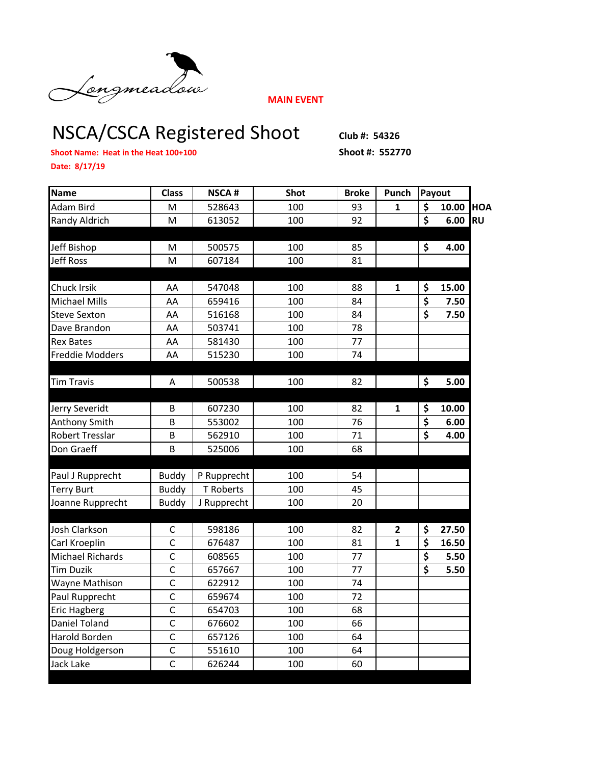

**MAIN EVENT**

## NSCA/CSCA Registered Shoot Club #: 54326

**Shoot Name: Heat in the Heat 100+100 Shoot #: 552770**

**Date: 8/17/19**

| <b>Name</b>            | <b>Class</b>   | <b>NSCA#</b> | <b>Shot</b> | <b>Broke</b> | Punch          | Payout                          |       |            |
|------------------------|----------------|--------------|-------------|--------------|----------------|---------------------------------|-------|------------|
| Adam Bird              | M              | 528643       | 100         | 93           | $\mathbf{1}$   | \$                              | 10.00 | <b>HOA</b> |
| Randy Aldrich          | M              | 613052       | 100         | 92           |                | $\overline{\mathsf{s}}$         | 6.00  | <b>RU</b>  |
|                        |                |              |             |              |                |                                 |       |            |
| Jeff Bishop            | М              | 500575       | 100         | 85           |                | \$                              | 4.00  |            |
| <b>Jeff Ross</b>       | М              | 607184       | 100         | 81           |                |                                 |       |            |
|                        |                |              |             |              |                |                                 |       |            |
| Chuck Irsik            | AA             | 547048       | 100         | 88           | 1              | \$                              | 15.00 |            |
| <b>Michael Mills</b>   | AA             | 659416       | 100         | 84           |                | \$                              | 7.50  |            |
| Steve Sexton           | AA             | 516168       | 100         | 84           |                | $\overline{\mathsf{s}}$         | 7.50  |            |
| Dave Brandon           | AA             | 503741       | 100         | 78           |                |                                 |       |            |
| <b>Rex Bates</b>       | AA             | 581430       | 100         | 77           |                |                                 |       |            |
| <b>Freddie Modders</b> | AA             | 515230       | 100         | 74           |                |                                 |       |            |
|                        |                |              |             |              |                |                                 |       |            |
| <b>Tim Travis</b>      | A              | 500538       | 100         | 82           |                | \$                              | 5.00  |            |
|                        |                |              |             |              |                |                                 |       |            |
| Jerry Severidt         | B              | 607230       | 100         | 82           | 1              | \$                              | 10.00 |            |
| Anthony Smith          | B              | 553002       | 100         | 76           |                | $\overline{\boldsymbol{\zeta}}$ | 6.00  |            |
| <b>Robert Tresslar</b> | $\overline{B}$ | 562910       | 100         | 71           |                | $\overline{\boldsymbol{\zeta}}$ | 4.00  |            |
| Don Graeff             | B              | 525006       | 100         | 68           |                |                                 |       |            |
|                        |                |              |             |              |                |                                 |       |            |
| Paul J Rupprecht       | <b>Buddy</b>   | P Rupprecht  | 100         | 54           |                |                                 |       |            |
| <b>Terry Burt</b>      | <b>Buddy</b>   | T Roberts    | 100         | 45           |                |                                 |       |            |
| Joanne Rupprecht       | <b>Buddy</b>   | J Rupprecht  | 100         | 20           |                |                                 |       |            |
|                        |                |              |             |              |                |                                 |       |            |
| Josh Clarkson          | C              | 598186       | 100         | 82           | $\overline{2}$ | \$                              | 27.50 |            |
| Carl Kroeplin          | $\mathsf{C}$   | 676487       | 100         | 81           | $\mathbf{1}$   | \$                              | 16.50 |            |
| Michael Richards       | $\mathsf{C}$   | 608565       | 100         | 77           |                | \$                              | 5.50  |            |
| <b>Tim Duzik</b>       | $\mathsf{C}$   | 657667       | 100         | 77           |                | \$                              | 5.50  |            |
| Wayne Mathison         | $\overline{C}$ | 622912       | 100         | 74           |                |                                 |       |            |
| Paul Rupprecht         | $\mathsf{C}$   | 659674       | 100         | 72           |                |                                 |       |            |
| <b>Eric Hagberg</b>    | $\mathsf{C}$   | 654703       | 100         | 68           |                |                                 |       |            |
| Daniel Toland          | $\mathsf{C}$   | 676602       | 100         | 66           |                |                                 |       |            |
| Harold Borden          | $\mathsf{C}$   | 657126       | 100         | 64           |                |                                 |       |            |
| Doug Holdgerson        | $\mathsf{C}$   | 551610       | 100         | 64           |                |                                 |       |            |
| Jack Lake              | $\mathsf{C}$   | 626244       | 100         | 60           |                |                                 |       |            |